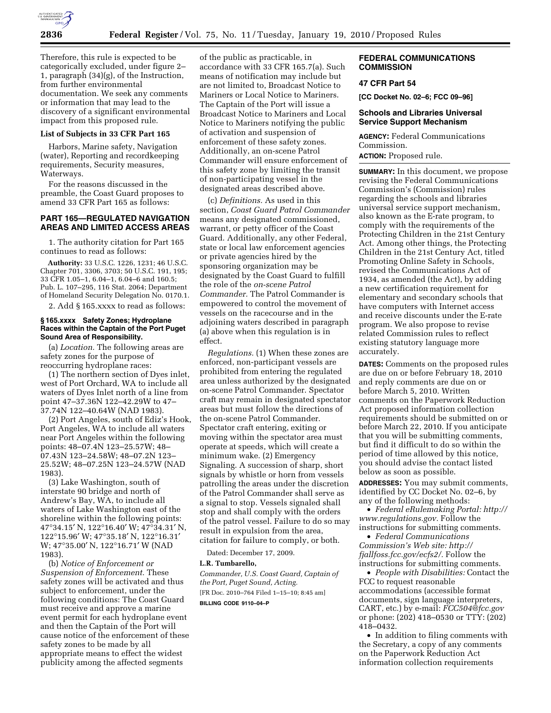

Therefore, this rule is expected to be categorically excluded, under figure 2– 1, paragraph (34)(g), of the Instruction, from further environmental documentation. We seek any comments or information that may lead to the discovery of a significant environmental impact from this proposed rule.

## **List of Subjects in 33 CFR Part 165**

Harbors, Marine safety, Navigation (water), Reporting and recordkeeping requirements, Security measures, Waterways.

For the reasons discussed in the preamble, the Coast Guard proposes to amend 33 CFR Part 165 as follows:

## **PART 165—REGULATED NAVIGATION AREAS AND LIMITED ACCESS AREAS**

1. The authority citation for Part 165 continues to read as follows:

**Authority:** 33 U.S.C. 1226, 1231; 46 U.S.C. Chapter 701, 3306, 3703; 50 U.S.C. 191, 195; 33 CFR 1.05–1, 6.04–1, 6.04–6 and 160.5; Pub. L. 107–295, 116 Stat. 2064; Department of Homeland Security Delegation No. 0170.1.

2. Add § 165.xxxx to read as follows:

#### **§ 165.xxxx Safety Zones; Hydroplane Races within the Captain of the Port Puget Sound Area of Responsibility.**

(a) *Location.* The following areas are safety zones for the purpose of reoccurring hydroplane races:

(1) The northern section of Dyes inlet, west of Port Orchard, WA to include all waters of Dyes Inlet north of a line from point 47–37.36N 122–42.29W to 47– 37.74N 122–40.64W (NAD 1983).

(2) Port Angeles, south of Ediz's Hook, Port Angeles, WA to include all waters near Port Angeles within the following points: 48–07.4N 123–25.57W; 48– 07.43N 123–24.58W; 48–07.2N 123– 25.52W; 48–07.25N 123–24.57W (NAD 1983).

(3) Lake Washington, south of interstate 90 bridge and north of Andrew's Bay, WA, to include all waters of Lake Washington east of the shoreline within the following points: 47°34.15′ N, 122°16.40′ W; 47°34.31′ N, 122°15.96′ W; 47°35.18′ N, 122°16.31′ W; 47°35.00′ N, 122°16.71′ W (NAD 1983).

(b) *Notice of Enforcement or Suspension of Enforcement.* These safety zones will be activated and thus subject to enforcement, under the following conditions: The Coast Guard must receive and approve a marine event permit for each hydroplane event and then the Captain of the Port will cause notice of the enforcement of these safety zones to be made by all appropriate means to effect the widest publicity among the affected segments

of the public as practicable, in accordance with 33 CFR 165.7(a). Such means of notification may include but are not limited to, Broadcast Notice to Mariners or Local Notice to Mariners. The Captain of the Port will issue a Broadcast Notice to Mariners and Local Notice to Mariners notifying the public of activation and suspension of enforcement of these safety zones. Additionally, an on-scene Patrol Commander will ensure enforcement of this safety zone by limiting the transit of non-participating vessel in the designated areas described above.

(c) *Definitions.* As used in this section, *Coast Guard Patrol Commander*  means any designated commissioned, warrant, or petty officer of the Coast Guard. Additionally, any other Federal, state or local law enforcement agencies or private agencies hired by the sponsoring organization may be designated by the Coast Guard to fulfill the role of the *on-scene Patrol Commander.* The Patrol Commander is empowered to control the movement of vessels on the racecourse and in the adjoining waters described in paragraph (a) above when this regulation is in effect.

*Regulations.* (1) When these zones are enforced, non-participant vessels are prohibited from entering the regulated area unless authorized by the designated on-scene Patrol Commander. Spectator craft may remain in designated spectator areas but must follow the directions of the on-scene Patrol Commander. Spectator craft entering, exiting or moving within the spectator area must operate at speeds, which will create a minimum wake. (2) Emergency Signaling. A succession of sharp, short signals by whistle or horn from vessels patrolling the areas under the discretion of the Patrol Commander shall serve as a signal to stop. Vessels signaled shall stop and shall comply with the orders of the patrol vessel. Failure to do so may result in expulsion from the area, citation for failure to comply, or both.

Dated: December 17, 2009.

### **L.R. Tumbarello,**

*Commander, U.S. Coast Guard, Captain of the Port, Puget Sound, Acting.*  [FR Doc. 2010–764 Filed 1–15–10; 8:45 am] **BILLING CODE 9110–04–P** 

## **FEDERAL COMMUNICATIONS COMMISSION**

## **47 CFR Part 54**

**[CC Docket No. 02–6; FCC 09–96]** 

## **Schools and Libraries Universal Service Support Mechanism**

**AGENCY:** Federal Communications Commission.

#### **ACTION:** Proposed rule.

**SUMMARY:** In this document, we propose revising the Federal Communications Commission's (Commission) rules regarding the schools and libraries universal service support mechanism, also known as the E-rate program, to comply with the requirements of the Protecting Children in the 21st Century Act. Among other things, the Protecting Children in the 21st Century Act, titled Promoting Online Safety in Schools, revised the Communications Act of 1934, as amended (the Act), by adding a new certification requirement for elementary and secondary schools that have computers with Internet access and receive discounts under the E-rate program. We also propose to revise related Commission rules to reflect existing statutory language more accurately.

**DATES:** Comments on the proposed rules are due on or before February 18, 2010 and reply comments are due on or before March 5, 2010. Written comments on the Paperwork Reduction Act proposed information collection requirements should be submitted on or before March 22, 2010. If you anticipate that you will be submitting comments, but find it difficult to do so within the period of time allowed by this notice, you should advise the contact listed below as soon as possible.

**ADDRESSES:** You may submit comments, identified by CC Docket No. 02–6, by any of the following methods:

• *Federal eRulemaking Portal: http:// www.regulations.gov.* Follow the instructions for submitting comments.

• *Federal Communications Commission's Web site: http:// fjallfoss.fcc.gov/ecfs2/.* Follow the instructions for submitting comments.

• *People with Disabilities:* Contact the FCC to request reasonable accommodations (accessible format documents, sign language interpreters, CART, etc.) by e-mail: *FCC504@fcc.gov*  or phone: (202) 418–0530 or TTY: (202) 418–0432.

• In addition to filing comments with the Secretary, a copy of any comments on the Paperwork Reduction Act information collection requirements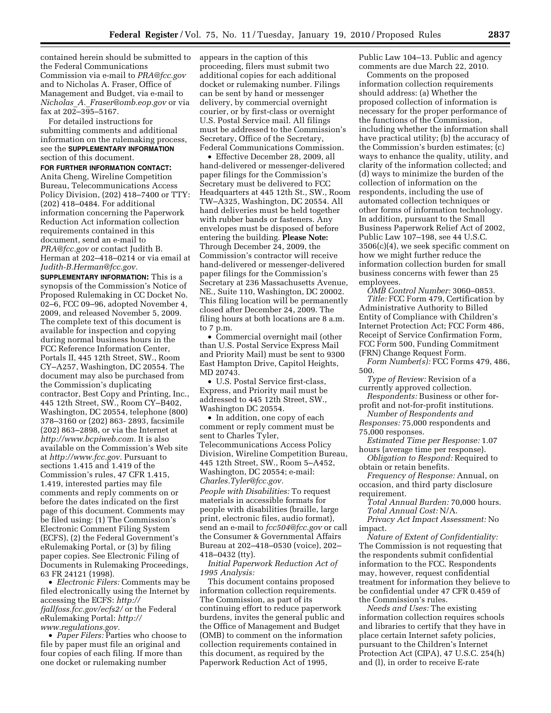contained herein should be submitted to the Federal Communications Commission via e-mail to *PRA@fcc.gov*  and to Nicholas A. Fraser, Office of Management and Budget, via e-mail to *Nicholas*\_*A.*\_*Fraser@omb.eop.gov* or via fax at 202–395–5167.

For detailed instructions for submitting comments and additional information on the rulemaking process, see the **SUPPLEMENTARY INFORMATION** section of this document.

**FOR FURTHER INFORMATION CONTACT:**  Anita Cheng, Wireline Competition Bureau, Telecommunications Access Policy Division, (202) 418–7400 or TTY: (202) 418–0484. For additional information concerning the Paperwork Reduction Act information collection requirements contained in this document, send an e-mail to *PRA@fcc.gov* or contact Judith B. Herman at 202–418–0214 or via email at *Judith-B.Herman@fcc.gov.* 

**SUPPLEMENTARY INFORMATION:** This is a synopsis of the Commission's Notice of Proposed Rulemaking in CC Docket No. 02–6, FCC 09–96, adopted November 4, 2009, and released November 5, 2009. The complete text of this document is available for inspection and copying during normal business hours in the FCC Reference Information Center, Portals II, 445 12th Street, SW., Room CY–A257, Washington, DC 20554. The document may also be purchased from the Commission's duplicating contractor, Best Copy and Printing, Inc., 445 12th Street, SW., Room CY–B402, Washington, DC 20554, telephone (800) 378–3160 or (202) 863- 2893, facsimile (202) 863–2898, or via the Internet at *http://www.bcpiweb.com.* It is also available on the Commission's Web site at *http://www.fcc.gov.* Pursuant to sections 1.415 and 1.419 of the Commission's rules, 47 CFR 1.415, 1.419, interested parties may file comments and reply comments on or before the dates indicated on the first page of this document. Comments may be filed using: (1) The Commission's Electronic Comment Filing System (ECFS), (2) the Federal Government's eRulemaking Portal, or (3) by filing paper copies. See Electronic Filing of Documents in Rulemaking Proceedings, 63 FR 24121 (1998).

• *Electronic Filers:* Comments may be filed electronically using the Internet by accessing the ECFS: *http:// fjallfoss.fcc.gov/ecfs2/* or the Federal eRulemaking Portal: *http:// www.regulations.gov.* 

• *Paper Filers:* Parties who choose to file by paper must file an original and four copies of each filing. If more than one docket or rulemaking number

appears in the caption of this proceeding, filers must submit two additional copies for each additional docket or rulemaking number. Filings can be sent by hand or messenger delivery, by commercial overnight courier, or by first-class or overnight U.S. Postal Service mail. All filings must be addressed to the Commission's Secretary, Office of the Secretary, Federal Communications Commission.

• Effective December 28, 2009, all hand-delivered or messenger-delivered paper filings for the Commission's Secretary must be delivered to FCC Headquarters at 445 12th St., SW., Room TW–A325, Washington, DC 20554. All hand deliveries must be held together with rubber bands or fasteners. Any envelopes must be disposed of before entering the building. **Please Note:**  Through December 24, 2009, the Commission's contractor will receive hand-delivered or messenger-delivered paper filings for the Commission's Secretary at 236 Massachusetts Avenue, NE., Suite 110, Washington, DC 20002. This filing location will be permanently closed after December 24, 2009. The filing hours at both locations are 8 a.m. to 7 p.m.

• Commercial overnight mail (other than U.S. Postal Service Express Mail and Priority Mail) must be sent to 9300 East Hampton Drive, Capitol Heights, MD 20743.

• U.S. Postal Service first-class, Express, and Priority mail must be addressed to 445 12th Street, SW., Washington DC 20554.

• In addition, one copy of each comment or reply comment must be sent to Charles Tyler, Telecommunications Access Policy Division, Wireline Competition Bureau, 445 12th Street, SW., Room 5–A452, Washington, DC 20554; e-mail: *Charles.Tyler@fcc.gov.* 

*People with Disabilities:* To request materials in accessible formats for people with disabilities (braille, large print, electronic files, audio format), send an e-mail to *fcc504@fcc.gov* or call the Consumer & Governmental Affairs Bureau at 202–418–0530 (voice), 202– 418–0432 (tty).

*Initial Paperwork Reduction Act of 1995 Analysis:* 

This document contains proposed information collection requirements. The Commission, as part of its continuing effort to reduce paperwork burdens, invites the general public and the Office of Management and Budget (OMB) to comment on the information collection requirements contained in this document, as required by the Paperwork Reduction Act of 1995,

Public Law 104–13. Public and agency comments are due March 22, 2010.

Comments on the proposed information collection requirements should address: (a) Whether the proposed collection of information is necessary for the proper performance of the functions of the Commission, including whether the information shall have practical utility; (b) the accuracy of the Commission's burden estimates; (c) ways to enhance the quality, utility, and clarity of the information collected; and (d) ways to minimize the burden of the collection of information on the respondents, including the use of automated collection techniques or other forms of information technology. In addition, pursuant to the Small Business Paperwork Relief Act of 2002, Public Law 107–198, see 44 U.S.C. 3506(c)(4), we seek specific comment on how we might further reduce the information collection burden for small business concerns with fewer than 25 employees.

*OMB Control Number:* 3060–0853. *Title:* FCC Form 479, Certification by Administrative Authority to Billed Entity of Compliance with Children's Internet Protection Act; FCC Form 486, Receipt of Service Confirmation Form, FCC Form 500, Funding Commitment (FRN) Change Request Form.

*Form Number(s):* FCC Forms 479, 486, 500.

*Type of Review:* Revision of a currently approved collection.

*Respondents:* Business or other forprofit and not-for-profit institutions.

*Number of Respondents and Responses:* 75,000 respondents and 75,000 responses.

*Estimated Time per Response:* 1.07 hours (average time per response).

*Obligation to Respond:* Required to obtain or retain benefits.

*Frequency of Response:* Annual, on occasion, and third party disclosure requirement.

*Total Annual Burden:* 70,000 hours. *Total Annual Cost:* N/A.

*Privacy Act Impact Assessment:* No impact.

*Nature of Extent of Confidentiality:*  The Commission is not requesting that the respondents submit confidential information to the FCC. Respondents may, however, request confidential treatment for information they believe to be confidential under 47 CFR 0.459 of the Commission's rules.

*Needs and Uses:* The existing information collection requires schools and libraries to certify that they have in place certain Internet safety policies, pursuant to the Children's Internet Protection Act (CIPA), 47 U.S.C. 254(h) and (l), in order to receive E-rate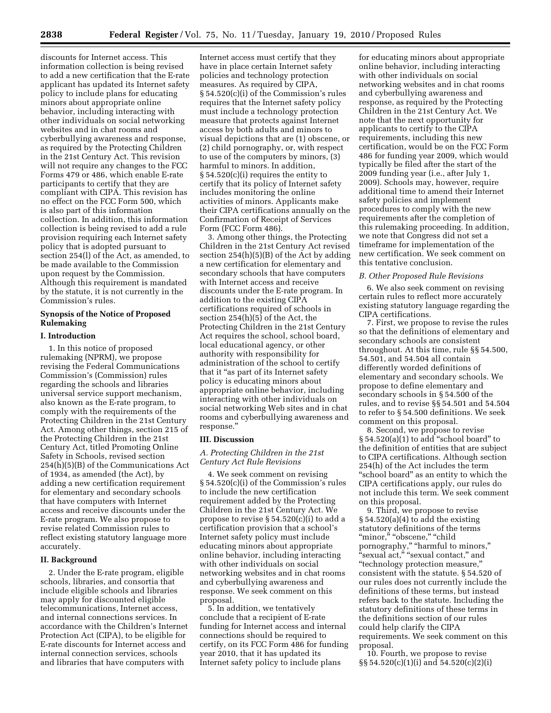discounts for Internet access. This information collection is being revised to add a new certification that the E-rate applicant has updated its Internet safety policy to include plans for educating minors about appropriate online behavior, including interacting with other individuals on social networking websites and in chat rooms and cyberbullying awareness and response, as required by the Protecting Children in the 21st Century Act. This revision will not require any changes to the FCC Forms 479 or 486, which enable E-rate participants to certify that they are compliant with CIPA. This revision has no effect on the FCC Form 500, which is also part of this information collection. In addition, this information collection is being revised to add a rule provision requiring each Internet safety policy that is adopted pursuant to section 254(l) of the Act, as amended, to be made available to the Commission upon request by the Commission. Although this requirement is mandated by the statute, it is not currently in the Commission's rules.

## **Synopsis of the Notice of Proposed Rulemaking**

## **I. Introduction**

1. In this notice of proposed rulemaking (NPRM), we propose revising the Federal Communications Commission's (Commission) rules regarding the schools and libraries universal service support mechanism, also known as the E-rate program, to comply with the requirements of the Protecting Children in the 21st Century Act. Among other things, section 215 of the Protecting Children in the 21st Century Act, titled Promoting Online Safety in Schools, revised section 254(h)(5)(B) of the Communications Act of 1934, as amended (the Act), by adding a new certification requirement for elementary and secondary schools that have computers with Internet access and receive discounts under the E-rate program. We also propose to revise related Commission rules to reflect existing statutory language more accurately.

## **II. Background**

2. Under the E-rate program, eligible schools, libraries, and consortia that include eligible schools and libraries may apply for discounted eligible telecommunications, Internet access, and internal connections services. In accordance with the Children's Internet Protection Act (CIPA), to be eligible for E-rate discounts for Internet access and internal connection services, schools and libraries that have computers with

Internet access must certify that they have in place certain Internet safety policies and technology protection measures. As required by CIPA, § 54.520(c)(i) of the Commission's rules requires that the Internet safety policy must include a technology protection measure that protects against Internet access by both adults and minors to visual depictions that are (1) obscene, or (2) child pornography, or, with respect to use of the computers by minors, (3) harmful to minors. In addition, § 54.520(c)(i) requires the entity to certify that its policy of Internet safety includes monitoring the online activities of minors. Applicants make their CIPA certifications annually on the Confirmation of Receipt of Services Form (FCC Form 486).

3. Among other things, the Protecting Children in the 21st Century Act revised section 254(h)(5)(B) of the Act by adding a new certification for elementary and secondary schools that have computers with Internet access and receive discounts under the E-rate program. In addition to the existing CIPA certifications required of schools in section 254(h)(5) of the Act, the Protecting Children in the 21st Century Act requires the school, school board, local educational agency, or other authority with responsibility for administration of the school to certify that it ''as part of its Internet safety policy is educating minors about appropriate online behavior, including interacting with other individuals on social networking Web sites and in chat rooms and cyberbullying awareness and response.''

#### **III. Discussion**

*A. Protecting Children in the 21st Century Act Rule Revisions* 

4. We seek comment on revising § 54.520(c)(i) of the Commission's rules to include the new certification requirement added by the Protecting Children in the 21st Century Act. We propose to revise § 54.520(c)(i) to add a certification provision that a school's Internet safety policy must include educating minors about appropriate online behavior, including interacting with other individuals on social networking websites and in chat rooms and cyberbullying awareness and response. We seek comment on this proposal.

5. In addition, we tentatively conclude that a recipient of E-rate funding for Internet access and internal connections should be required to certify, on its FCC Form 486 for funding year 2010, that it has updated its Internet safety policy to include plans

for educating minors about appropriate online behavior, including interacting with other individuals on social networking websites and in chat rooms and cyberbullying awareness and response, as required by the Protecting Children in the 21st Century Act. We note that the next opportunity for applicants to certify to the CIPA requirements, including this new certification, would be on the FCC Form 486 for funding year 2009, which would typically be filed after the start of the 2009 funding year (i.e., after July 1, 2009). Schools may, however, require additional time to amend their Internet safety policies and implement procedures to comply with the new requirements after the completion of this rulemaking proceeding. In addition, we note that Congress did not set a timeframe for implementation of the new certification. We seek comment on this tentative conclusion.

#### *B. Other Proposed Rule Revisions*

6. We also seek comment on revising certain rules to reflect more accurately existing statutory language regarding the CIPA certifications.

7. First, we propose to revise the rules so that the definitions of elementary and secondary schools are consistent throughout. At this time, rule §§ 54.500, 54.501, and 54.504 all contain differently worded definitions of elementary and secondary schools. We propose to define elementary and secondary schools in § 54.500 of the rules, and to revise §§ 54.501 and 54.504 to refer to § 54.500 definitions. We seek comment on this proposal.

8. Second, we propose to revise § 54.520(a)(1) to add "school board" to the definition of entities that are subject to CIPA certifications. Although section 254(h) of the Act includes the term "school board" as an entity to which the CIPA certifications apply, our rules do not include this term. We seek comment on this proposal.

9. Third, we propose to revise  $§ 54.520(a)(4)$  to add the existing statutory definitions of the terms "minor," "obscene," "child pornography,'' ''harmful to minors,'' ''sexual act,'' ''sexual contact,'' and ''technology protection measure,'' consistent with the statute. § 54.520 of our rules does not currently include the definitions of these terms, but instead refers back to the statute. Including the statutory definitions of these terms in the definitions section of our rules could help clarify the CIPA requirements. We seek comment on this proposal.

10. Fourth, we propose to revise §§ 54.520(c)(1)(i) and 54.520(c)(2)(i)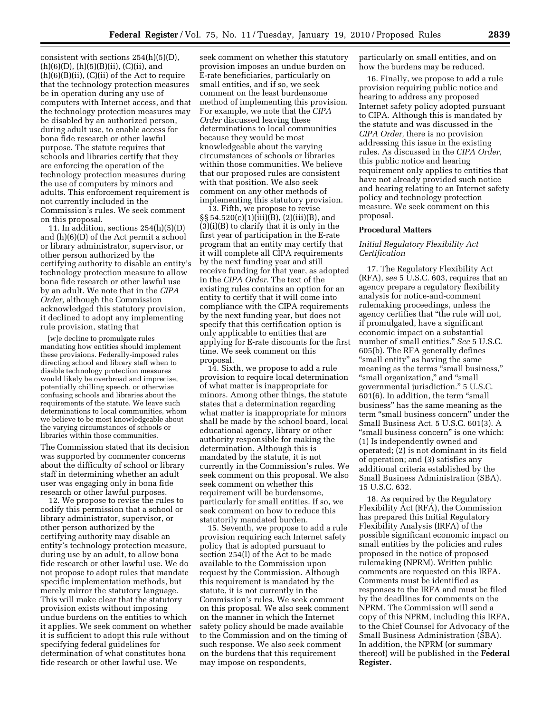consistent with sections 254(h)(5)(D),  $(h)(6)(D), (h)(5)(B)(ii), (C)(ii), and$  $(h)(6)(B)(ii)$ ,  $(C)(ii)$  of the Act to require that the technology protection measures be in operation during any use of computers with Internet access, and that the technology protection measures may be disabled by an authorized person, during adult use, to enable access for bona fide research or other lawful purpose. The statute requires that schools and libraries certify that they are enforcing the operation of the technology protection measures during the use of computers by minors and adults. This enforcement requirement is not currently included in the Commission's rules. We seek comment on this proposal.

11. In addition, sections 254(h)(5)(D) and (h)(6)(D) of the Act permit a school or library administrator, supervisor, or other person authorized by the certifying authority to disable an entity's technology protection measure to allow bona fide research or other lawful use by an adult. We note that in the *CIPA Order,* although the Commission acknowledged this statutory provision, it declined to adopt any implementing rule provision, stating that

[w]e decline to promulgate rules mandating how entities should implement these provisions. Federally-imposed rules directing school and library staff when to disable technology protection measures would likely be overbroad and imprecise, potentially chilling speech, or otherwise confusing schools and libraries about the requirements of the statute. We leave such determinations to local communities, whom we believe to be most knowledgeable about the varying circumstances of schools or libraries within those communities.

The Commission stated that its decision was supported by commenter concerns about the difficulty of school or library staff in determining whether an adult user was engaging only in bona fide research or other lawful purposes.

12. We propose to revise the rules to codify this permission that a school or library administrator, supervisor, or other person authorized by the certifying authority may disable an entity's technology protection measure, during use by an adult, to allow bona fide research or other lawful use. We do not propose to adopt rules that mandate specific implementation methods, but merely mirror the statutory language. This will make clear that the statutory provision exists without imposing undue burdens on the entities to which it applies. We seek comment on whether it is sufficient to adopt this rule without specifying federal guidelines for determination of what constitutes bona fide research or other lawful use. We

seek comment on whether this statutory provision imposes an undue burden on E-rate beneficiaries, particularly on small entities, and if so, we seek comment on the least burdensome method of implementing this provision. For example, we note that the *CIPA Order* discussed leaving these determinations to local communities because they would be most knowledgeable about the varying circumstances of schools or libraries within those communities. We believe that our proposed rules are consistent with that position. We also seek comment on any other methods of implementing this statutory provision.

13. Fifth, we propose to revise §§ 54.520(c)(1)(iii)(B), (2)(iii)(B), and (3)(i)(B) to clarify that it is only in the first year of participation in the E-rate program that an entity may certify that it will complete all CIPA requirements by the next funding year and still receive funding for that year, as adopted in the *CIPA Order.* The text of the existing rules contains an option for an entity to certify that it will come into compliance with the CIPA requirements by the next funding year, but does not specify that this certification option is only applicable to entities that are applying for E-rate discounts for the first time. We seek comment on this proposal.

14. Sixth, we propose to add a rule provision to require local determination of what matter is inappropriate for minors. Among other things, the statute states that a determination regarding what matter is inappropriate for minors shall be made by the school board, local educational agency, library or other authority responsible for making the determination. Although this is mandated by the statute, it is not currently in the Commission's rules. We seek comment on this proposal. We also seek comment on whether this requirement will be burdensome, particularly for small entities. If so, we seek comment on how to reduce this statutorily mandated burden.

15. Seventh, we propose to add a rule provision requiring each Internet safety policy that is adopted pursuant to section 254(l) of the Act to be made available to the Commission upon request by the Commission. Although this requirement is mandated by the statute, it is not currently in the Commission's rules. We seek comment on this proposal. We also seek comment on the manner in which the Internet safety policy should be made available to the Commission and on the timing of such response. We also seek comment on the burdens that this requirement may impose on respondents,

particularly on small entities, and on how the burdens may be reduced.

16. Finally, we propose to add a rule provision requiring public notice and hearing to address any proposed Internet safety policy adopted pursuant to CIPA. Although this is mandated by the statute and was discussed in the *CIPA Order,* there is no provision addressing this issue in the existing rules. As discussed in the *CIPA Order,*  this public notice and hearing requirement only applies to entities that have not already provided such notice and hearing relating to an Internet safety policy and technology protection measure. We seek comment on this proposal.

#### **Procedural Matters**

## *Initial Regulatory Flexibility Act Certification*

17. The Regulatory Flexibility Act (RFA), *see* 5 U.S.C. 603, requires that an agency prepare a regulatory flexibility analysis for notice-and-comment rulemaking proceedings, unless the agency certifies that ''the rule will not, if promulgated, have a significant economic impact on a substantial number of small entities.'' *See* 5 U.S.C. 605(b). The RFA generally defines "small entity" as having the same meaning as the terms "small business," ''small organization,'' and ''small governmental jurisdiction.'' 5 U.S.C. 601(6). In addition, the term ''small business'' has the same meaning as the term "small business concern" under the Small Business Act. 5 U.S.C. 601(3). A ''small business concern'' is one which: (1) Is independently owned and operated; (2) is not dominant in its field of operation; and (3) satisfies any additional criteria established by the Small Business Administration (SBA). 15 U.S.C. 632.

18. As required by the Regulatory Flexibility Act (RFA), the Commission has prepared this Initial Regulatory Flexibility Analysis (IRFA) of the possible significant economic impact on small entities by the policies and rules proposed in the notice of proposed rulemaking (NPRM). Written public comments are requested on this IRFA. Comments must be identified as responses to the IRFA and must be filed by the deadlines for comments on the NPRM. The Commission will send a copy of this NPRM, including this IRFA, to the Chief Counsel for Advocacy of the Small Business Administration (SBA). In addition, the NPRM (or summary thereof) will be published in the **Federal Register.**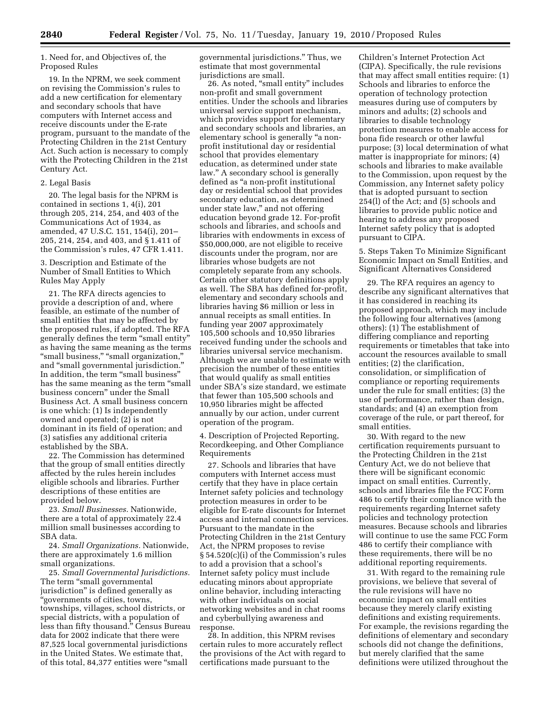1. Need for, and Objectives of, the Proposed Rules

19. In the NPRM, we seek comment on revising the Commission's rules to add a new certification for elementary and secondary schools that have computers with Internet access and receive discounts under the E-rate program, pursuant to the mandate of the Protecting Children in the 21st Century Act. Such action is necessary to comply with the Protecting Children in the 21st Century Act.

#### 2. Legal Basis

20. The legal basis for the NPRM is contained in sections 1, 4(i), 201 through 205, 214, 254, and 403 of the Communications Act of 1934, as amended, 47 U.S.C. 151, 154(i), 201– 205, 214, 254, and 403, and § 1.411 of the Commission's rules, 47 CFR 1.411.

3. Description and Estimate of the Number of Small Entities to Which Rules May Apply

21. The RFA directs agencies to provide a description of and, where feasible, an estimate of the number of small entities that may be affected by the proposed rules, if adopted. The RFA generally defines the term ''small entity'' as having the same meaning as the terms "small business," "small organization," and ''small governmental jurisdiction.'' In addition, the term ''small business'' has the same meaning as the term "small business concern'' under the Small Business Act. A small business concern is one which: (1) Is independently owned and operated; (2) is not dominant in its field of operation; and (3) satisfies any additional criteria established by the SBA.

22. The Commission has determined that the group of small entities directly affected by the rules herein includes eligible schools and libraries. Further descriptions of these entities are provided below.

23. *Small Businesses.* Nationwide, there are a total of approximately 22.4 million small businesses according to SBA data.

24. *Small Organizations.* Nationwide, there are approximately 1.6 million small organizations.

25. *Small Governmental Jurisdictions.*  The term "small governmental jurisdiction'' is defined generally as ''governments of cities, towns, townships, villages, school districts, or special districts, with a population of less than fifty thousand.'' Census Bureau data for 2002 indicate that there were 87,525 local governmental jurisdictions in the United States. We estimate that, of this total, 84,377 entities were ''small

governmental jurisdictions.'' Thus, we estimate that most governmental jurisdictions are small.

26. As noted, ''small entity'' includes non-profit and small government entities. Under the schools and libraries universal service support mechanism, which provides support for elementary and secondary schools and libraries, an elementary school is generally ''a nonprofit institutional day or residential school that provides elementary education, as determined under state law.'' A secondary school is generally defined as ''a non-profit institutional day or residential school that provides secondary education, as determined under state law,'' and not offering education beyond grade 12. For-profit schools and libraries, and schools and libraries with endowments in excess of \$50,000,000, are not eligible to receive discounts under the program, nor are libraries whose budgets are not completely separate from any schools. Certain other statutory definitions apply as well. The SBA has defined for-profit, elementary and secondary schools and libraries having \$6 million or less in annual receipts as small entities. In funding year 2007 approximately 105,500 schools and 10,950 libraries received funding under the schools and libraries universal service mechanism. Although we are unable to estimate with precision the number of these entities that would qualify as small entities under SBA's size standard, we estimate that fewer than 105,500 schools and 10,950 libraries might be affected annually by our action, under current operation of the program.

4. Description of Projected Reporting, Recordkeeping, and Other Compliance Requirements

27. Schools and libraries that have computers with Internet access must certify that they have in place certain Internet safety policies and technology protection measures in order to be eligible for E-rate discounts for Internet access and internal connection services. Pursuant to the mandate in the Protecting Children in the 21st Century Act, the NPRM proposes to revise § 54.520(c)(i) of the Commission's rules to add a provision that a school's Internet safety policy must include educating minors about appropriate online behavior, including interacting with other individuals on social networking websites and in chat rooms and cyberbullying awareness and response.

28. In addition, this NPRM revises certain rules to more accurately reflect the provisions of the Act with regard to certifications made pursuant to the

Children's Internet Protection Act (CIPA). Specifically, the rule revisions that may affect small entities require: (1) Schools and libraries to enforce the operation of technology protection measures during use of computers by minors and adults; (2) schools and libraries to disable technology protection measures to enable access for bona fide research or other lawful purpose; (3) local determination of what matter is inappropriate for minors; (4) schools and libraries to make available to the Commission, upon request by the Commission, any Internet safety policy that is adopted pursuant to section 254(l) of the Act; and (5) schools and libraries to provide public notice and hearing to address any proposed Internet safety policy that is adopted pursuant to CIPA.

5. Steps Taken To Minimize Significant Economic Impact on Small Entities, and Significant Alternatives Considered

29. The RFA requires an agency to describe any significant alternatives that it has considered in reaching its proposed approach, which may include the following four alternatives (among others): (1) The establishment of differing compliance and reporting requirements or timetables that take into account the resources available to small entities; (2) the clarification, consolidation, or simplification of compliance or reporting requirements under the rule for small entities; (3) the use of performance, rather than design, standards; and (4) an exemption from coverage of the rule, or part thereof, for small entities.

30. With regard to the new certification requirements pursuant to the Protecting Children in the 21st Century Act, we do not believe that there will be significant economic impact on small entities. Currently, schools and libraries file the FCC Form 486 to certify their compliance with the requirements regarding Internet safety policies and technology protection measures. Because schools and libraries will continue to use the same FCC Form 486 to certify their compliance with these requirements, there will be no additional reporting requirements.

31. With regard to the remaining rule provisions, we believe that several of the rule revisions will have no economic impact on small entities because they merely clarify existing definitions and existing requirements. For example, the revisions regarding the definitions of elementary and secondary schools did not change the definitions, but merely clarified that the same definitions were utilized throughout the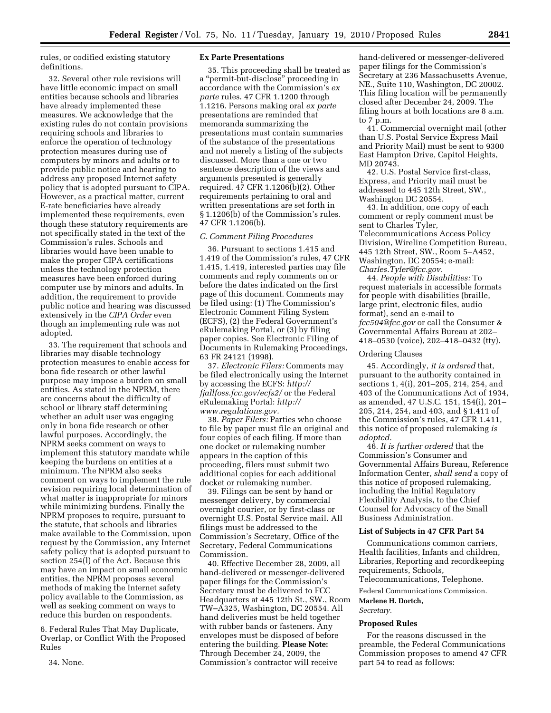rules, or codified existing statutory definitions.

32. Several other rule revisions will have little economic impact on small entities because schools and libraries have already implemented these measures. We acknowledge that the existing rules do not contain provisions requiring schools and libraries to enforce the operation of technology protection measures during use of computers by minors and adults or to provide public notice and hearing to address any proposed Internet safety policy that is adopted pursuant to CIPA. However, as a practical matter, current E-rate beneficiaries have already implemented these requirements, even though these statutory requirements are not specifically stated in the text of the Commission's rules. Schools and libraries would have been unable to make the proper CIPA certifications unless the technology protection measures have been enforced during computer use by minors and adults. In addition, the requirement to provide public notice and hearing was discussed extensively in the *CIPA Order* even though an implementing rule was not adopted.

33. The requirement that schools and libraries may disable technology protection measures to enable access for bona fide research or other lawful purpose may impose a burden on small entities. As stated in the NPRM, there are concerns about the difficulty of school or library staff determining whether an adult user was engaging only in bona fide research or other lawful purposes. Accordingly, the NPRM seeks comment on ways to implement this statutory mandate while keeping the burdens on entities at a minimum. The NPRM also seeks comment on ways to implement the rule revision requiring local determination of what matter is inappropriate for minors while minimizing burdens. Finally the NPRM proposes to require, pursuant to the statute, that schools and libraries make available to the Commission, upon request by the Commission, any Internet safety policy that is adopted pursuant to section 254(l) of the Act. Because this may have an impact on small economic entities, the NPRM proposes several methods of making the Internet safety policy available to the Commission, as well as seeking comment on ways to reduce this burden on respondents.

6. Federal Rules That May Duplicate, Overlap, or Conflict With the Proposed Rules

34. None.

#### **Ex Parte Presentations**

35. This proceeding shall be treated as a ''permit-but-disclose'' proceeding in accordance with the Commission's *ex parte* rules. 47 CFR 1.1200 through 1.1216. Persons making oral *ex parte*  presentations are reminded that memoranda summarizing the presentations must contain summaries of the substance of the presentations and not merely a listing of the subjects discussed. More than a one or two sentence description of the views and arguments presented is generally required. 47 CFR 1.1206(b)(2). Other requirements pertaining to oral and written presentations are set forth in § 1.1206(b) of the Commission's rules. 47 CFR 1.1206(b).

### *C. Comment Filing Procedures*

36. Pursuant to sections 1.415 and 1.419 of the Commission's rules, 47 CFR 1.415, 1.419, interested parties may file comments and reply comments on or before the dates indicated on the first page of this document. Comments may be filed using: (1) The Commission's Electronic Comment Filing System (ECFS), (2) the Federal Government's eRulemaking Portal, or (3) by filing paper copies. See Electronic Filing of Documents in Rulemaking Proceedings, 63 FR 24121 (1998).

37. *Electronic Filers:* Comments may be filed electronically using the Internet by accessing the ECFS: *http:// fjallfoss.fcc.gov/ecfs2/* or the Federal eRulemaking Portal: *http:// www.regulations.gov.* 

38. *Paper Filers:* Parties who choose to file by paper must file an original and four copies of each filing. If more than one docket or rulemaking number appears in the caption of this proceeding, filers must submit two additional copies for each additional docket or rulemaking number.

39. Filings can be sent by hand or messenger delivery, by commercial overnight courier, or by first-class or overnight U.S. Postal Service mail. All filings must be addressed to the Commission's Secretary, Office of the Secretary, Federal Communications Commission.

40. Effective December 28, 2009, all hand-delivered or messenger-delivered paper filings for the Commission's Secretary must be delivered to FCC Headquarters at 445 12th St., SW., Room TW–A325, Washington, DC 20554. All hand deliveries must be held together with rubber bands or fasteners. Any envelopes must be disposed of before entering the building. **Please Note:**  Through December 24, 2009, the Commission's contractor will receive

hand-delivered or messenger-delivered paper filings for the Commission's Secretary at 236 Massachusetts Avenue, NE., Suite 110, Washington, DC 20002. This filing location will be permanently closed after December 24, 2009. The filing hours at both locations are 8 a.m. to 7 p.m.

41. Commercial overnight mail (other than U.S. Postal Service Express Mail and Priority Mail) must be sent to 9300 East Hampton Drive, Capitol Heights, MD 20743.

42. U.S. Postal Service first-class, Express, and Priority mail must be addressed to 445 12th Street, SW., Washington DC 20554.

43. In addition, one copy of each comment or reply comment must be sent to Charles Tyler, Telecommunications Access Policy Division, Wireline Competition Bureau, 445 12th Street, SW., Room 5–A452, Washington, DC 20554; e-mail: *Charles.Tyler@fcc.gov.* 

44. *People with Disabilities:* To request materials in accessible formats for people with disabilities (braille, large print, electronic files, audio format), send an e-mail to *fcc504@fcc.gov* or call the Consumer & Governmental Affairs Bureau at 202– 418–0530 (voice), 202–418–0432 (tty).

#### Ordering Clauses

45. Accordingly, *it is ordered* that, pursuant to the authority contained in sections 1, 4(i), 201–205, 214, 254, and 403 of the Communications Act of 1934, as amended, 47 U.S.C. 151, 154(i), 201– 205, 214, 254, and 403, and § 1.411 of the Commission's rules, 47 CFR 1.411, this notice of proposed rulemaking *is adopted.* 

46. *It is further ordered* that the Commission's Consumer and Governmental Affairs Bureau, Reference Information Center, *shall send* a copy of this notice of proposed rulemaking, including the Initial Regulatory Flexibility Analysis, to the Chief Counsel for Advocacy of the Small Business Administration.

#### **List of Subjects in 47 CFR Part 54**

Communications common carriers, Health facilities, Infants and children, Libraries, Reporting and recordkeeping requirements, Schools, Telecommunications, Telephone.

Federal Communications Commission.

# **Marlene H. Dortch,**

*Secretary.* 

#### **Proposed Rules**

For the reasons discussed in the preamble, the Federal Communications Commission proposes to amend 47 CFR part 54 to read as follows: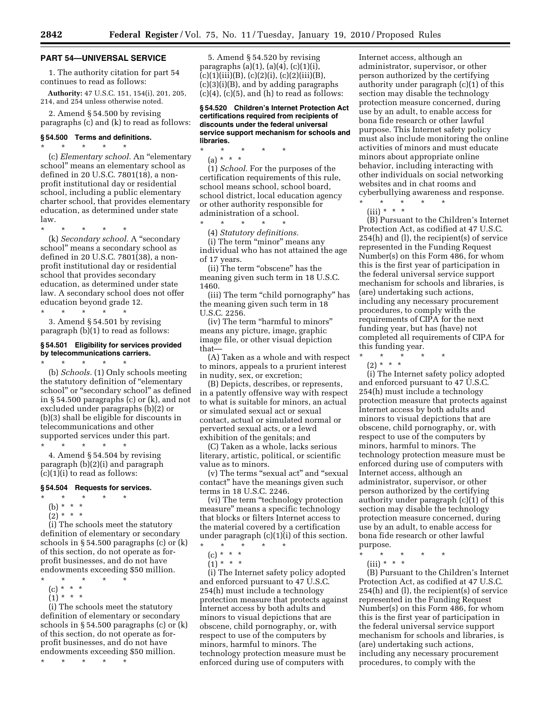## **PART 54—UNIVERSAL SERVICE**

1. The authority citation for part 54 continues to read as follows:

**Authority:** 47 U.S.C. 151, 154(i), 201, 205, 214, and 254 unless otherwise noted.

2. Amend § 54.500 by revising paragraphs (c) and (k) to read as follows:

## **§ 54.500 Terms and definitions.**

\* \* \* \* \* (c) *Elementary school.* An ''elementary school'' means an elementary school as defined in 20 U.S.C. 7801(18), a nonprofit institutional day or residential school, including a public elementary charter school, that provides elementary education, as determined under state law.

\* \* \* \* \*

(k) *Secondary school.* A ''secondary school'' means a secondary school as defined in 20 U.S.C. 7801(38), a nonprofit institutional day or residential school that provides secondary education, as determined under state law. A secondary school does not offer education beyond grade 12. \* \* \* \* \*

3. Amend § 54.501 by revising paragraph (b)(1) to read as follows:

\* \* \* \* \*

## **§ 54.501 Eligibility for services provided by telecommunications carriers.**

(b) *Schools.* (1) Only schools meeting the statutory definition of ''elementary school'' or ''secondary school'' as defined in § 54.500 paragraphs (c) or (k), and not excluded under paragraphs (b)(2) or (b)(3) shall be eligible for discounts in telecommunications and other supported services under this part. \* \* \* \* \*

4. Amend § 54.504 by revising paragraph (b)(2)(i) and paragraph  $(c)(1)(i)$  to read as follows:

#### **§ 54.504 Requests for services.**

- \* \* \* \* \*
- (b) \* \* \*
- $\binom{5}{2}$  \* \* \*

(i) The schools meet the statutory definition of elementary or secondary schools in § 54.500 paragraphs (c) or (k) of this section, do not operate as forprofit businesses, and do not have endowments exceeding \$50 million.

- \* \* \* \* \*
- $(c) * * * *$

 $(1) * * * *$ 

(i) The schools meet the statutory definition of elementary or secondary schools in § 54.500 paragraphs (c) or (k) of this section, do not operate as forprofit businesses, and do not have endowments exceeding \$50 million.

\* \* \* \* \*

5. Amend § 54.520 by revising paragraphs (a)(1), (a)(4), (c)(1)(i),  $(c)(1)(iii)(B), (c)(2)(i), (c)(2)(iii)(B),$ (c)(3)(i)(B), and by adding paragraphs  $(c)(4)$ ,  $(c)(5)$ , and  $(h)$  to read as follows:

#### **§ 54.520 Children's Internet Protection Act certifications required from recipients of discounts under the federal universal service support mechanism for schools and libraries.**

\* \* \* \* \* (a) \* \* \*

(1) *School.* For the purposes of the certification requirements of this rule, school means school, school board, school district, local education agency or other authority responsible for administration of a school. \* \* \* \* \*

(4) *Statutory definitions.* 

(i) The term "minor" means any individual who has not attained the age of 17 years.

(ii) The term "obscene" has the meaning given such term in 18 U.S.C. 1460.

(iii) The term "child pornography" has the meaning given such term in 18 U.S.C. 2256.

(iv) The term ''harmful to minors'' means any picture, image, graphic image file, or other visual depiction that—

(A) Taken as a whole and with respect to minors, appeals to a prurient interest in nudity, sex, or excretion;

(B) Depicts, describes, or represents, in a patently offensive way with respect to what is suitable for minors, an actual or simulated sexual act or sexual contact, actual or simulated normal or perverted sexual acts, or a lewd exhibition of the genitals; and

(C) Taken as a whole, lacks serious literary, artistic, political, or scientific value as to minors.

(v) The terms ''sexual act'' and ''sexual contact'' have the meanings given such terms in 18 U.S.C. 2246.

(vi) The term ''technology protection measure'' means a specific technology that blocks or filters Internet access to the material covered by a certification under paragraph (c)(1)(i) of this section.

\* \* \* \* \*

- $(c) * * * *$
- $(1) * * * *$

(i) The Internet safety policy adopted and enforced pursuant to 47 U.S.C. 254(h) must include a technology protection measure that protects against Internet access by both adults and minors to visual depictions that are obscene, child pornography, or, with respect to use of the computers by minors, harmful to minors. The technology protection measure must be enforced during use of computers with

Internet access, although an administrator, supervisor, or other person authorized by the certifying authority under paragraph (c)(1) of this section may disable the technology protection measure concerned, during use by an adult, to enable access for bona fide research or other lawful purpose. This Internet safety policy must also include monitoring the online activities of minors and must educate minors about appropriate online behavior, including interacting with other individuals on social networking websites and in chat rooms and cyberbullying awareness and response.

\* \* \* \* \*

 $(iii) * * * *$ 

(B) Pursuant to the Children's Internet Protection Act, as codified at 47 U.S.C. 254(h) and (l), the recipient(s) of service represented in the Funding Request Number(s) on this Form 486, for whom this is the first year of participation in the federal universal service support mechanism for schools and libraries, is (are) undertaking such actions, including any necessary procurement procedures, to comply with the requirements of CIPA for the next funding year, but has (have) not completed all requirements of CIPA for this funding year.

\* \* \* \* \*

(2) \* \* \*

(i) The Internet safety policy adopted and enforced pursuant to 47 U.S.C. 254(h) must include a technology protection measure that protects against Internet access by both adults and minors to visual depictions that are obscene, child pornography, or, with respect to use of the computers by minors, harmful to minors. The technology protection measure must be enforced during use of computers with Internet access, although an administrator, supervisor, or other person authorized by the certifying authority under paragraph  $(c)(1)$  of this section may disable the technology protection measure concerned, during use by an adult, to enable access for bona fide research or other lawful purpose. \* \* \* \* \*

 $(iii) * * * *$ 

(B) Pursuant to the Children's Internet Protection Act, as codified at 47 U.S.C. 254(h) and (l), the recipient(s) of service represented in the Funding Request Number(s) on this Form 486, for whom this is the first year of participation in the federal universal service support mechanism for schools and libraries, is (are) undertaking such actions, including any necessary procurement procedures, to comply with the